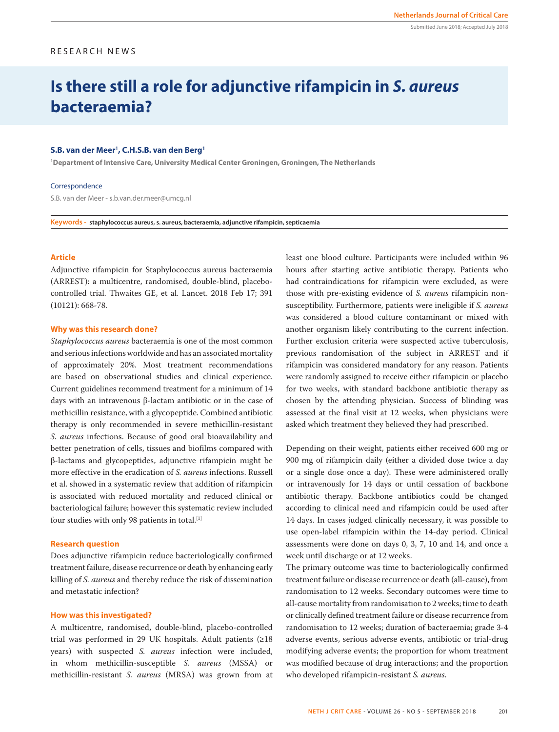## RESEARCH NEWS

# **Is there still a role for adjunctive rifampicin in** *S. aureus* **bacteraemia?**

#### **S.B. van der Meer1 , C.H.S.B. van den Berg1**

**1 Department of Intensive Care, University Medical Center Groningen, Groningen, The Netherlands**

#### Correspondence

S.B. van der Meer - s.b.van.der.meer@umcg.nl

**Keywords - staphylococcus aureus, s. aureus, bacteraemia, adjunctive rifampicin, septicaemia**

## **Article**

Adjunctive rifampicin for Staphylococcus aureus bacteraemia (ARREST): a multicentre, randomised, double-blind, placebocontrolled trial. Thwaites GE, et al. Lancet. 2018 Feb 17; 391 (10121): 668-78.

## **Why was this research done?**

*Staphylococcus aureus* bacteraemia is one of the most common and serious infections worldwide and has an associated mortality of approximately 20%. Most treatment recommendations are based on observational studies and clinical experience. Current guidelines recommend treatment for a minimum of 14 days with an intravenous β-lactam antibiotic or in the case of methicillin resistance, with a glycopeptide. Combined antibiotic therapy is only recommended in severe methicillin-resistant *S. aureus* infections. Because of good oral bioavailability and better penetration of cells, tissues and biofilms compared with β-lactams and glycopeptides, adjunctive rifampicin might be more effective in the eradication of *S. aureus* infections. Russell et al. showed in a systematic review that addition of rifampicin is associated with reduced mortality and reduced clinical or bacteriological failure; however this systematic review included four studies with only 98 patients in total.<sup>[1]</sup>

## **Research question**

Does adjunctive rifampicin reduce bacteriologically confirmed treatment failure, disease recurrence or death by enhancing early killing of *S. aureus* and thereby reduce the risk of dissemination and metastatic infection?

#### **How was this investigated?**

A multicentre, randomised, double-blind, placebo-controlled trial was performed in 29 UK hospitals. Adult patients (≥18 years) with suspected *S. aureus* infection were included, in whom methicillin-susceptible *S. aureus* (MSSA) or methicillin-resistant *S. aureus* (MRSA) was grown from at least one blood culture. Participants were included within 96 hours after starting active antibiotic therapy. Patients who had contraindications for rifampicin were excluded, as were those with pre-existing evidence of *S. aureus* rifampicin nonsusceptibility. Furthermore, patients were ineligible if *S. aureus* was considered a blood culture contaminant or mixed with another organism likely contributing to the current infection. Further exclusion criteria were suspected active tuberculosis, previous randomisation of the subject in ARREST and if rifampicin was considered mandatory for any reason. Patients were randomly assigned to receive either rifampicin or placebo for two weeks, with standard backbone antibiotic therapy as chosen by the attending physician. Success of blinding was assessed at the final visit at 12 weeks, when physicians were asked which treatment they believed they had prescribed.

Depending on their weight, patients either received 600 mg or 900 mg of rifampicin daily (either a divided dose twice a day or a single dose once a day). These were administered orally or intravenously for 14 days or until cessation of backbone antibiotic therapy. Backbone antibiotics could be changed according to clinical need and rifampicin could be used after 14 days. In cases judged clinically necessary, it was possible to use open-label rifampicin within the 14-day period. Clinical assessments were done on days 0, 3, 7, 10 and 14, and once a week until discharge or at 12 weeks.

The primary outcome was time to bacteriologically confirmed treatment failure or disease recurrence or death (all-cause), from randomisation to 12 weeks. Secondary outcomes were time to all-cause mortality from randomisation to 2 weeks; time to death or clinically defined treatment failure or disease recurrence from randomisation to 12 weeks; duration of bacteraemia; grade 3-4 adverse events, serious adverse events, antibiotic or trial-drug modifying adverse events; the proportion for whom treatment was modified because of drug interactions; and the proportion who developed rifampicin-resistant *S. aureus*.